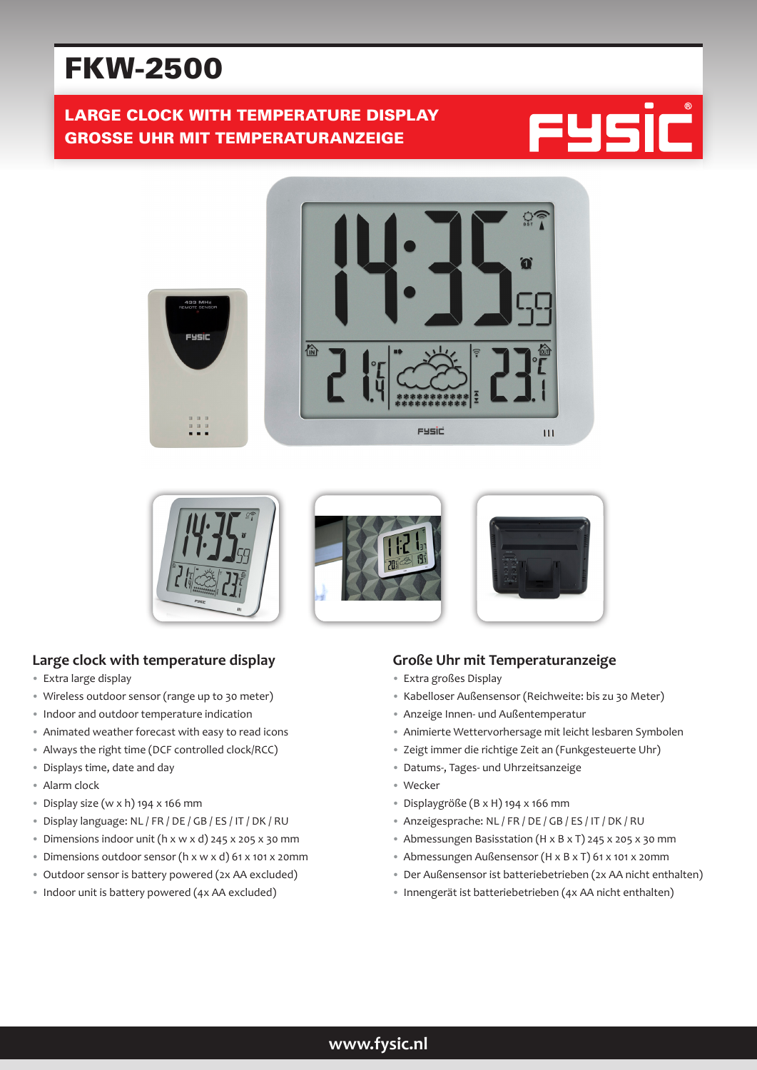# FKW-2500

# LARGE CLOCK WITH TEMPERATURE DISPLAY GROSSE UHR MIT TEMPERATURANZEIGE







#### **Large clock with temperature display**

- Extra large display
- Wireless outdoor sensor (range up to 30 meter)
- Indoor and outdoor temperature indication
- Animated weather forecast with easy to read icons
- Always the right time (DCF controlled clock/RCC)
- Displays time, date and day
- Alarm clock
- Display size (w x h) 194 x 166 mm
- Display language: NL / FR / DE / GB / ES / IT / DK / RU
- Dimensions indoor unit (h x w x d) 245 x 205 x 30 mm
- Dimensions outdoor sensor (h x w x d) 61 x 101 x 20mm
- Outdoor sensor is battery powered (2x AA excluded)
- Indoor unit is battery powered (4x AA excluded)

#### **Große Uhr mit Temperaturanzeige**

- Extra großes Display
- Kabelloser Außensensor (Reichweite: bis zu 30 Meter)
- Anzeige Innen- und Außentemperatur
- Animierte Wettervorhersage mit leicht lesbaren Symbolen
- Zeigt immer die richtige Zeit an (Funkgesteuerte Uhr)
- Datums-, Tages- und Uhrzeitsanzeige
- Wecker
- Displaygröße (B x H) 194 x 166 mm
- Anzeigesprache: NL / FR / DE / GB / ES / IT / DK / RU
- Abmessungen Basisstation (H x B x T) 245 x 205 x 30 mm
- Abmessungen Außensensor (H x B x T) 61 x 101 x 20mm
- Der Außensensor ist batteriebetrieben (2x AA nicht enthalten)
- Innengerät ist batteriebetrieben (4x AA nicht enthalten)

## **www.fysic.nl**